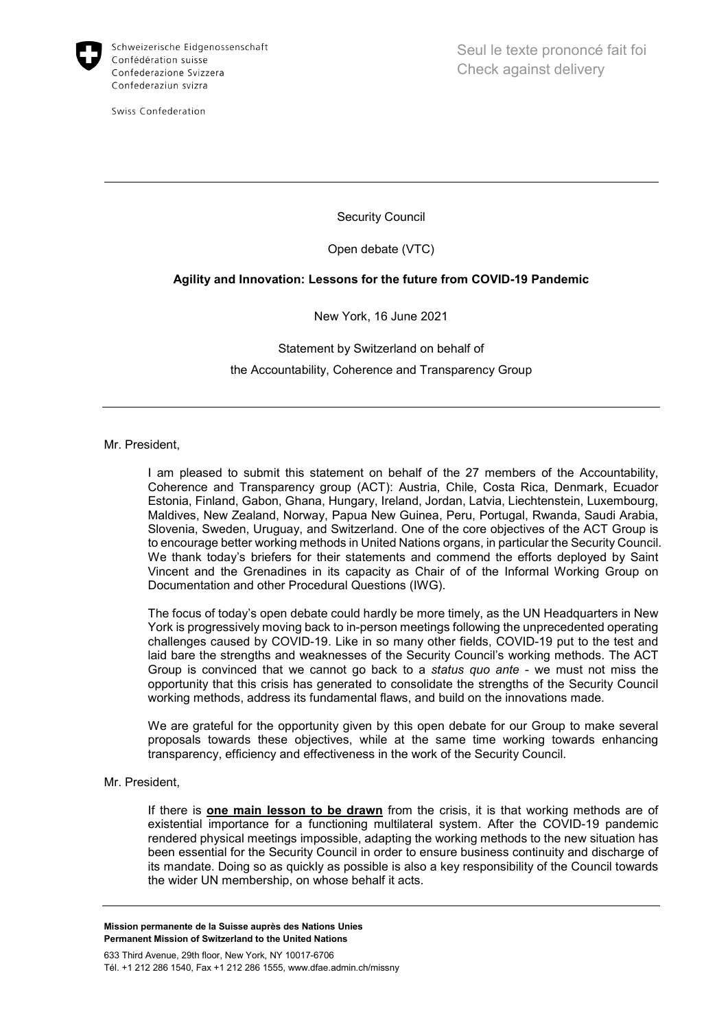

Swiss Confederation

Security Council

Open debate (VTC)

## **Agility and Innovation: Lessons for the future from COVID-19 Pandemic**

New York, 16 June 2021

Statement by Switzerland on behalf of the Accountability, Coherence and Transparency Group

## Mr. President,

I am pleased to submit this statement on behalf of the 27 members of the Accountability, Coherence and Transparency group (ACT): Austria, Chile, Costa Rica, Denmark, Ecuador Estonia, Finland, Gabon, Ghana, Hungary, Ireland, Jordan, Latvia, Liechtenstein, Luxembourg, Maldives, New Zealand, Norway, Papua New Guinea, Peru, Portugal, Rwanda, Saudi Arabia, Slovenia, Sweden, Uruguay, and Switzerland. One of the core objectives of the ACT Group is to encourage better working methods in United Nations organs, in particular the Security Council. We thank today's briefers for their statements and commend the efforts deployed by Saint Vincent and the Grenadines in its capacity as Chair of of the Informal Working Group on Documentation and other Procedural Questions (IWG).

The focus of today's open debate could hardly be more timely, as the UN Headquarters in New York is progressively moving back to in-person meetings following the unprecedented operating challenges caused by COVID-19. Like in so many other fields, COVID-19 put to the test and laid bare the strengths and weaknesses of the Security Council's working methods. The ACT Group is convinced that we cannot go back to a *status quo ante* - we must not miss the opportunity that this crisis has generated to consolidate the strengths of the Security Council working methods, address its fundamental flaws, and build on the innovations made.

We are grateful for the opportunity given by this open debate for our Group to make several proposals towards these objectives, while at the same time working towards enhancing transparency, efficiency and effectiveness in the work of the Security Council.

## Mr. President,

If there is **one main lesson to be drawn** from the crisis, it is that working methods are of existential importance for a functioning multilateral system. After the COVID-19 pandemic rendered physical meetings impossible, adapting the working methods to the new situation has been essential for the Security Council in order to ensure business continuity and discharge of its mandate. Doing so as quickly as possible is also a key responsibility of the Council towards the wider UN membership, on whose behalf it acts.

**Mission permanente de la Suisse auprès des Nations Unies Permanent Mission of Switzerland to the United Nations**

633 Third Avenue, 29th floor, New York, NY 10017-6706 Tél. +1 212 286 1540, Fax +1 212 286 1555, www.dfae.admin.ch/missny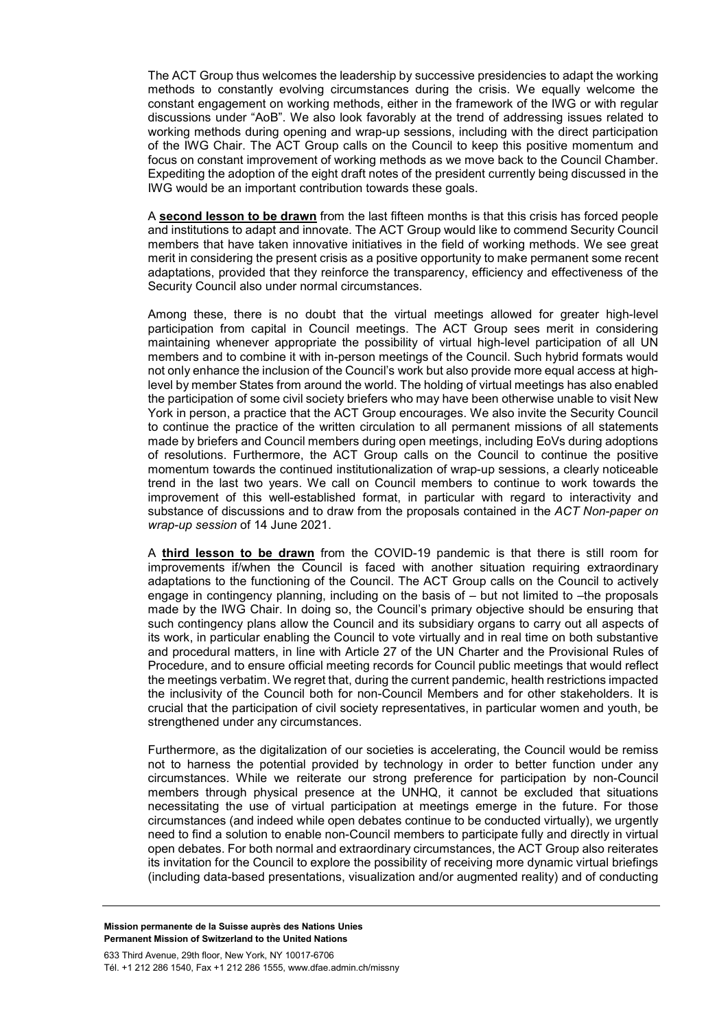The ACT Group thus welcomes the leadership by successive presidencies to adapt the working methods to constantly evolving circumstances during the crisis. We equally welcome the constant engagement on working methods, either in the framework of the IWG or with regular discussions under "AoB". We also look favorably at the trend of addressing issues related to working methods during opening and wrap-up sessions, including with the direct participation of the IWG Chair. The ACT Group calls on the Council to keep this positive momentum and focus on constant improvement of working methods as we move back to the Council Chamber. Expediting the adoption of the eight draft notes of the president currently being discussed in the IWG would be an important contribution towards these goals.

A **second lesson to be drawn** from the last fifteen months is that this crisis has forced people and institutions to adapt and innovate. The ACT Group would like to commend Security Council members that have taken innovative initiatives in the field of working methods. We see great merit in considering the present crisis as a positive opportunity to make permanent some recent adaptations, provided that they reinforce the transparency, efficiency and effectiveness of the Security Council also under normal circumstances.

Among these, there is no doubt that the virtual meetings allowed for greater high-level participation from capital in Council meetings. The ACT Group sees merit in considering maintaining whenever appropriate the possibility of virtual high-level participation of all UN members and to combine it with in-person meetings of the Council. Such hybrid formats would not only enhance the inclusion of the Council's work but also provide more equal access at highlevel by member States from around the world. The holding of virtual meetings has also enabled the participation of some civil society briefers who may have been otherwise unable to visit New York in person, a practice that the ACT Group encourages. We also invite the Security Council to continue the practice of the written circulation to all permanent missions of all statements made by briefers and Council members during open meetings, including EoVs during adoptions of resolutions. Furthermore, the ACT Group calls on the Council to continue the positive momentum towards the continued institutionalization of wrap-up sessions, a clearly noticeable trend in the last two years. We call on Council members to continue to work towards the improvement of this well-established format, in particular with regard to interactivity and substance of discussions and to draw from the proposals contained in the *ACT Non-paper on wrap-up session* of 14 June 2021.

A **third lesson to be drawn** from the COVID-19 pandemic is that there is still room for improvements if/when the Council is faced with another situation requiring extraordinary adaptations to the functioning of the Council. The ACT Group calls on the Council to actively engage in contingency planning, including on the basis of – but not limited to –the proposals made by the IWG Chair. In doing so, the Council's primary objective should be ensuring that such contingency plans allow the Council and its subsidiary organs to carry out all aspects of its work, in particular enabling the Council to vote virtually and in real time on both substantive and procedural matters, in line with Article 27 of the UN Charter and the Provisional Rules of Procedure, and to ensure official meeting records for Council public meetings that would reflect the meetings verbatim. We regret that, during the current pandemic, health restrictions impacted the inclusivity of the Council both for non-Council Members and for other stakeholders. It is crucial that the participation of civil society representatives, in particular women and youth, be strengthened under any circumstances.

Furthermore, as the digitalization of our societies is accelerating, the Council would be remiss not to harness the potential provided by technology in order to better function under any circumstances. While we reiterate our strong preference for participation by non-Council members through physical presence at the UNHQ, it cannot be excluded that situations necessitating the use of virtual participation at meetings emerge in the future. For those circumstances (and indeed while open debates continue to be conducted virtually), we urgently need to find a solution to enable non-Council members to participate fully and directly in virtual open debates. For both normal and extraordinary circumstances, the ACT Group also reiterates its invitation for the Council to explore the possibility of receiving more dynamic virtual briefings (including data-based presentations, visualization and/or augmented reality) and of conducting

**Mission permanente de la Suisse auprès des Nations Unies Permanent Mission of Switzerland to the United Nations**

633 Third Avenue, 29th floor, New York, NY 10017-6706 Tél. +1 212 286 1540, Fax +1 212 286 1555, www.dfae.admin.ch/missny